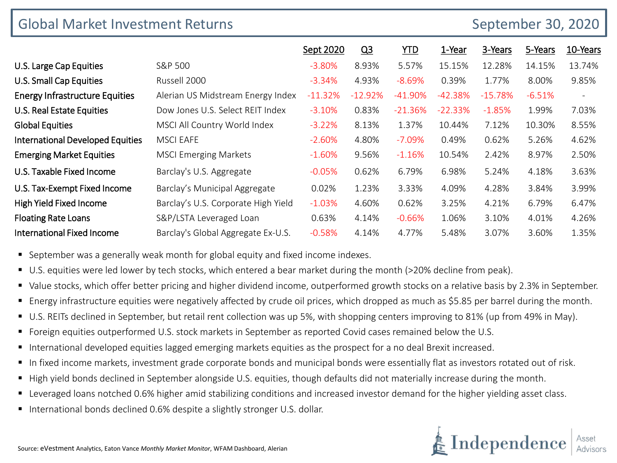| <b>Global Market Investment Returns</b><br>September 30, 2020 |                                     |           |                |            |           |           |          |                          |  |
|---------------------------------------------------------------|-------------------------------------|-----------|----------------|------------|-----------|-----------|----------|--------------------------|--|
|                                                               |                                     | Sept 2020 | Q <sub>3</sub> | <b>YTD</b> | 1-Year    | 3-Years   | 5-Years  | 10-Years                 |  |
| U.S. Large Cap Equities                                       | S&P 500                             | $-3.80%$  | 8.93%          | 5.57%      | 15.15%    | 12.28%    | 14.15%   | 13.74%                   |  |
| U.S. Small Cap Equities                                       | Russell 2000                        | $-3.34%$  | 4.93%          | $-8.69%$   | 0.39%     | 1.77%     | 8.00%    | 9.85%                    |  |
| <b>Energy Infrastructure Equities</b>                         | Alerian US Midstream Energy Index   | $-11.32%$ | $-12.92%$      | $-41.90\%$ | $-42.38%$ | $-15.78%$ | $-6.51%$ | $\overline{\phantom{a}}$ |  |
| U.S. Real Estate Equities                                     | Dow Jones U.S. Select REIT Index    | $-3.10%$  | 0.83%          | $-21.36%$  | $-22.33%$ | $-1.85%$  | 1.99%    | 7.03%                    |  |
| <b>Global Equities</b>                                        | MSCI All Country World Index        | $-3.22%$  | 8.13%          | 1.37%      | 10.44%    | 7.12%     | 10.30%   | 8.55%                    |  |
| <b>International Developed Equities</b>                       | <b>MSCI EAFE</b>                    | $-2.60\%$ | 4.80%          | $-7.09%$   | 0.49%     | 0.62%     | 5.26%    | 4.62%                    |  |
| <b>Emerging Market Equities</b>                               | <b>MSCI Emerging Markets</b>        | $-1.60%$  | 9.56%          | $-1.16%$   | 10.54%    | 2.42%     | 8.97%    | 2.50%                    |  |
| U.S. Taxable Fixed Income                                     | Barclay's U.S. Aggregate            | $-0.05%$  | 0.62%          | 6.79%      | 6.98%     | 5.24%     | 4.18%    | 3.63%                    |  |
| U.S. Tax-Exempt Fixed Income                                  | Barclay's Municipal Aggregate       | 0.02%     | 1.23%          | 3.33%      | 4.09%     | 4.28%     | 3.84%    | 3.99%                    |  |
| <b>High Yield Fixed Income</b>                                | Barclay's U.S. Corporate High Yield | $-1.03%$  | 4.60%          | 0.62%      | 3.25%     | 4.21%     | 6.79%    | 6.47%                    |  |
| <b>Floating Rate Loans</b>                                    | S&P/LSTA Leveraged Loan             | 0.63%     | 4.14%          | $-0.66%$   | 1.06%     | 3.10%     | 4.01%    | 4.26%                    |  |
| <b>International Fixed Income</b>                             | Barclay's Global Aggregate Ex-U.S.  | $-0.58%$  | 4.14%          | 4.77%      | 5.48%     | 3.07%     | 3.60%    | 1.35%                    |  |

**September was a generally weak month for global equity and fixed income indexes.** 

- U.S. equities were led lower by tech stocks, which entered a bear market during the month (>20% decline from peak).
- Value stocks, which offer better pricing and higher dividend income, outperformed growth stocks on a relative basis by 2.3% in September.
- Energy infrastructure equities were negatively affected by crude oil prices, which dropped as much as \$5.85 per barrel during the month.
- U.S. REITs declined in September, but retail rent collection was up 5%, with shopping centers improving to 81% (up from 49% in May).
- Foreign equities outperformed U.S. stock markets in September as reported Covid cases remained below the U.S.
- International developed equities lagged emerging markets equities as the prospect for a no deal Brexit increased.
- In fixed income markets, investment grade corporate bonds and municipal bonds were essentially flat as investors rotated out of risk.
- High yield bonds declined in September alongside U.S. equities, though defaults did not materially increase during the month.
- Leveraged loans notched 0.6% higher amid stabilizing conditions and increased investor demand for the higher yielding asset class.
- International bonds declined 0.6% despite a slightly stronger U.S. dollar.

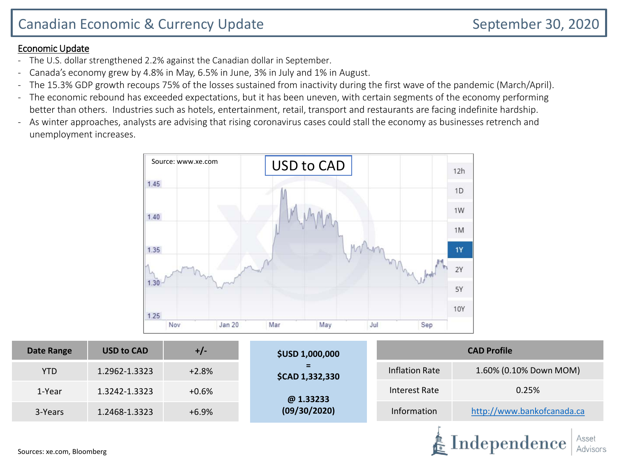# Canadian Economic & Currency Update **September 30, 2020**

Independence

#### Economic Update

- The U.S. dollar strengthened 2.2% against the Canadian dollar in September.
- Canada's economy grew by 4.8% in May, 6.5% in June, 3% in July and 1% in August.
- The 15.3% GDP growth recoups 75% of the losses sustained from inactivity during the first wave of the pandemic (March/April).
- The economic rebound has exceeded expectations, but it has been uneven, with certain segments of the economy performing better than others. Industries such as hotels, entertainment, retail, transport and restaurants are facing indefinite hardship.
- As winter approaches, analysts are advising that rising coronavirus cases could stall the economy as businesses retrench and unemployment increases.



| <b>Date Range</b> | <b>USD to CAD</b> | +/-     | <b>\$USD 1,000,000</b> | <b>CAD Profile</b>     |                            |  |  |  |
|-------------------|-------------------|---------|------------------------|------------------------|----------------------------|--|--|--|
| <b>YTD</b>        | 1.2962-1.3323     | $+2.8%$ | =<br>\$CAD 1,332,330   | 1.60% (0.10% Down MOM) |                            |  |  |  |
| 1-Year            | 1.3242-1.3323     | $+0.6%$ | @1.33233               | Interest Rate          | 0.25%                      |  |  |  |
| 3-Years           | 1.2468-1.3323     | $+6.9%$ | (09/30/2020)           | Information            | http://www.bankofcanada.ca |  |  |  |
|                   |                   |         |                        |                        |                            |  |  |  |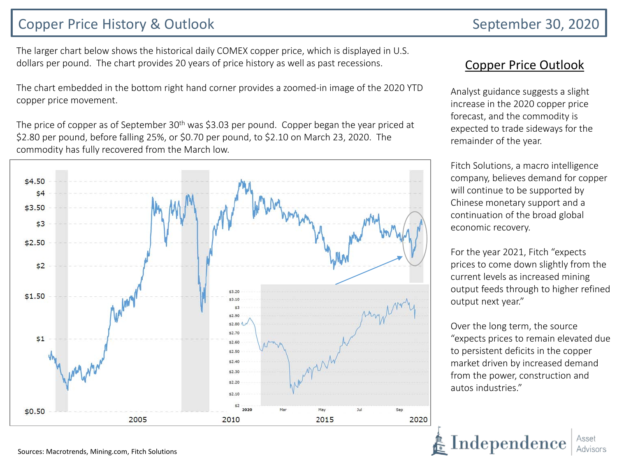# Copper Price History & Outlook September 30, 2020

The larger chart below shows the historical daily COMEX copper price, which is displayed in U.S. dollars per pound. The chart provides 20 years of price history as well as past recessions.

The chart embedded in the bottom right hand corner provides a zoomed-in image of the 2020 YTD copper price movement.

The price of copper as of September 30<sup>th</sup> was \$3.03 per pound. Copper began the year priced at \$2.80 per pound, before falling 25%, or \$0.70 per pound, to \$2.10 on March 23, 2020. The commodity has fully recovered from the March low.



#### Copper Price Outlook

Analyst guidance suggests a slight increase in the 2020 copper price forecast, and the commodity is expected to trade sideways for the remainder of the year.

Fitch Solutions, a macro intelligence company, believes demand for copper will continue to be supported by Chinese monetary support and a continuation of the broad global economic recovery.

For the year 2021, Fitch "expects prices to come down slightly from the current levels as increased mining output feeds through to higher refined output next year."

Over the long term, the source "expects prices to remain elevated due to persistent deficits in the copper market driven by increased demand from the power, construction and autos industries."

 $\rm Independence$